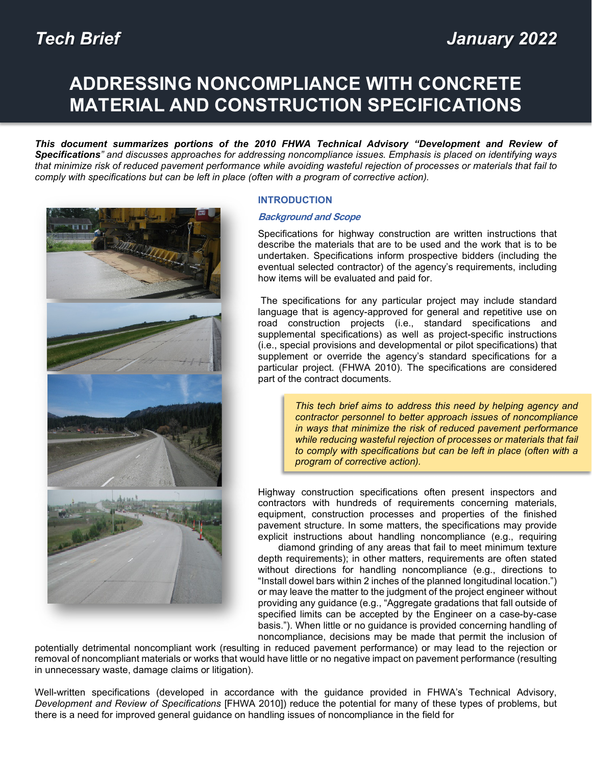# **ADDRESSING NONCOMPLIANCE WITH CONCRETE MATERIAL AND CONSTRUCTION SPECIFICATIONS**

*This document summarizes portions of the 2010 FHWA Technical Advisory "Development and Review of Specifications" and discusses approaches for addressing noncompliance issues. Emphasis is placed on identifying ways that minimize risk of reduced pavement performance while avoiding wasteful rejection of processes or materials that fail to comply with specifications but can be left in place (often with a program of corrective action).*



## **INTRODUCTION**

## **Background and Scope**

Specifications for highway construction are written instructions that describe the materials that are to be used and the work that is to be undertaken. Specifications inform prospective bidders (including the eventual selected contractor) of the agency's requirements, including how items will be evaluated and paid for.

The specifications for any particular project may include standard language that is agency-approved for general and repetitive use on road construction projects (i.e., standard specifications and supplemental specifications) as well as project-specific instructions (i.e., special provisions and developmental or pilot specifications) that supplement or override the agency's standard specifications for a particular project. (FHWA 2010). The specifications are considered part of the contract documents.

> *This tech brief aims to address this need by helping agency and contractor personnel to better approach issues of noncompliance in ways that minimize the risk of reduced pavement performance while reducing wasteful rejection of processes or materials that fail to comply with specifications but can be left in place (often with a program of corrective action).*

Highway construction specifications often present inspectors and contractors with hundreds of requirements concerning materials, equipment, construction processes and properties of the finished pavement structure. In some matters, the specifications may provide explicit instructions about handling noncompliance (e.g., requiring

diamond grinding of any areas that fail to meet minimum texture depth requirements); in other matters, requirements are often stated without directions for handling noncompliance (e.g., directions to "Install dowel bars within 2 inches of the planned longitudinal location.") or may leave the matter to the judgment of the project engineer without providing any guidance (e.g., "Aggregate gradations that fall outside of specified limits can be accepted by the Engineer on a case-by-case basis."). When little or no guidance is provided concerning handling of noncompliance, decisions may be made that permit the inclusion of

potentially detrimental noncompliant work (resulting in reduced pavement performance) or may lead to the rejection or removal of noncompliant materials or works that would have little or no negative impact on pavement performance (resulting in unnecessary waste, damage claims or litigation).

Well-written specifications (developed in accordance with the guidance provided in FHWA's Technical Advisory, *Development and Review of Specifications* [FHWA 2010]) reduce the potential for many of these types of problems, but there is a need for improved general guidance on handling issues of noncompliance in the field for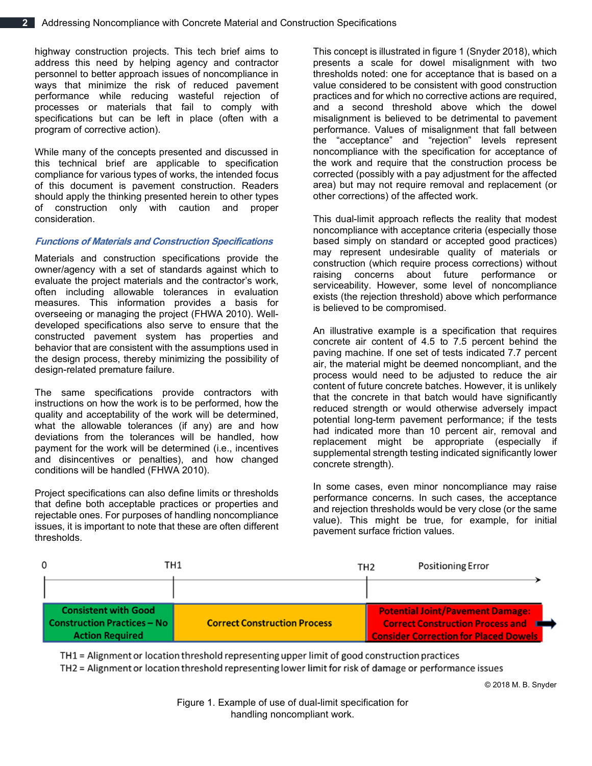highway construction projects. This tech brief aims to address this need by helping agency and contractor personnel to better approach issues of noncompliance in ways that minimize the risk of reduced pavement performance while reducing wasteful rejection of processes or materials that fail to comply with specifications but can be left in place (often with a program of corrective action).

While many of the concepts presented and discussed in this technical brief are applicable to specification compliance for various types of works, the intended focus of this document is pavement construction. Readers should apply the thinking presented herein to other types of construction only with caution and proper consideration.

## **Functions of Materials and Construction Specifications**

Materials and construction specifications provide the owner/agency with a set of standards against which to evaluate the project materials and the contractor's work, often including allowable tolerances in evaluation measures. This information provides a basis for overseeing or managing the project (FHWA 2010). Welldeveloped specifications also serve to ensure that the constructed pavement system has properties and behavior that are consistent with the assumptions used in the design process, thereby minimizing the possibility of design-related premature failure.

The same specifications provide contractors with instructions on how the work is to be performed, how the quality and acceptability of the work will be determined, what the allowable tolerances (if any) are and how deviations from the tolerances will be handled, how payment for the work will be determined (i.e., incentives and disincentives or penalties), and how changed conditions will be handled (FHWA 2010).

Project specifications can also define limits or thresholds that define both acceptable practices or properties and rejectable ones. For purposes of handling noncompliance issues, it is important to note that these are often different thresholds.

This concept is illustrated in figure 1 (Snyder 2018), which presents a scale for dowel misalignment with two thresholds noted: one for acceptance that is based on a value considered to be consistent with good construction practices and for which no corrective actions are required, and a second threshold above which the dowel misalignment is believed to be detrimental to pavement performance. Values of misalignment that fall between the "acceptance" and "rejection" levels represent noncompliance with the specification for acceptance of the work and require that the construction process be corrected (possibly with a pay adjustment for the affected area) but may not require removal and replacement (or other corrections) of the affected work.

This dual-limit approach reflects the reality that modest noncompliance with acceptance criteria (especially those based simply on standard or accepted good practices) may represent undesirable quality of materials or construction (which require process corrections) without raising concerns about future performance or serviceability. However, some level of noncompliance exists (the rejection threshold) above which performance is believed to be compromised.

An illustrative example is a specification that requires concrete air content of 4.5 to 7.5 percent behind the paving machine. If one set of tests indicated 7.7 percent air, the material might be deemed noncompliant, and the process would need to be adjusted to reduce the air content of future concrete batches. However, it is unlikely that the concrete in that batch would have significantly reduced strength or would otherwise adversely impact potential long-term pavement performance; if the tests had indicated more than 10 percent air, removal and replacement might be appropriate (especially if supplemental strength testing indicated significantly lower concrete strength).

In some cases, even minor noncompliance may raise performance concerns. In such cases, the acceptance and rejection thresholds would be very close (or the same value). This might be true, for example, for initial pavement surface friction values.



TH1 = Alignment or location threshold representing upper limit of good construction practices

TH2 = Alignment or location threshold representing lower limit for risk of damage or performance issues

© 2018 M. B. Snyder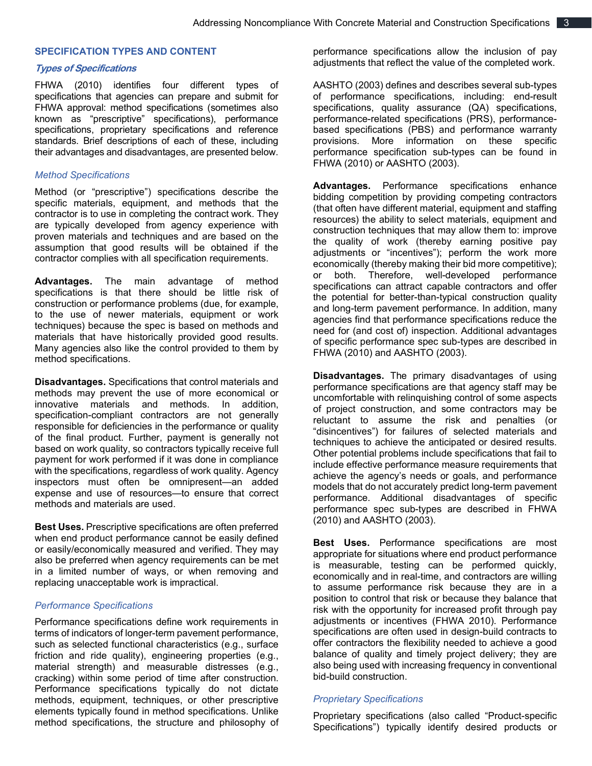#### **SPECIFICATION TYPES AND CONTENT**

#### **Types of Specifications**

FHWA (2010) identifies four different types of specifications that agencies can prepare and submit for FHWA approval: method specifications (sometimes also known as "prescriptive" specifications), performance specifications, proprietary specifications and reference standards. Brief descriptions of each of these, including their advantages and disadvantages, are presented below.

#### *Method Specifications*

Method (or "prescriptive") specifications describe the specific materials, equipment, and methods that the contractor is to use in completing the contract work. They are typically developed from agency experience with proven materials and techniques and are based on the assumption that good results will be obtained if the contractor complies with all specification requirements.

**Advantages.** The main advantage of method specifications is that there should be little risk of construction or performance problems (due, for example, to the use of newer materials, equipment or work techniques) because the spec is based on methods and materials that have historically provided good results. Many agencies also like the control provided to them by method specifications.

**Disadvantages.** Specifications that control materials and methods may prevent the use of more economical or innovative materials and methods. In addition, specification-compliant contractors are not generally responsible for deficiencies in the performance or quality of the final product. Further, payment is generally not based on work quality, so contractors typically receive full payment for work performed if it was done in compliance with the specifications, regardless of work quality. Agency inspectors must often be omnipresent—an added expense and use of resources—to ensure that correct methods and materials are used.

**Best Uses.** Prescriptive specifications are often preferred when end product performance cannot be easily defined or easily/economically measured and verified. They may also be preferred when agency requirements can be met in a limited number of ways, or when removing and replacing unacceptable work is impractical.

## *Performance Specifications*

Performance specifications define work requirements in terms of indicators of longer-term pavement performance, such as selected functional characteristics (e.g., surface friction and ride quality), engineering properties (e.g., material strength) and measurable distresses (e.g., cracking) within some period of time after construction. Performance specifications typically do not dictate methods, equipment, techniques, or other prescriptive elements typically found in method specifications. Unlike method specifications, the structure and philosophy of

performance specifications allow the inclusion of pay adjustments that reflect the value of the completed work.

AASHTO (2003) defines and describes several sub-types of performance specifications, including: end-result specifications, quality assurance (QA) specifications, performance-related specifications (PRS), performancebased specifications (PBS) and performance warranty provisions. More information on these specific performance specification sub-types can be found in FHWA (2010) or AASHTO (2003).

**Advantages.** Performance specifications enhance bidding competition by providing competing contractors (that often have different material, equipment and staffing resources) the ability to select materials, equipment and construction techniques that may allow them to: improve the quality of work (thereby earning positive pay adjustments or "incentives"); perform the work more economically (thereby making their bid more competitive); or both. Therefore, well-developed performance specifications can attract capable contractors and offer the potential for better-than-typical construction quality and long-term pavement performance. In addition, many agencies find that performance specifications reduce the need for (and cost of) inspection. Additional advantages of specific performance spec sub-types are described in FHWA (2010) and AASHTO (2003).

**Disadvantages.** The primary disadvantages of using performance specifications are that agency staff may be uncomfortable with relinquishing control of some aspects of project construction, and some contractors may be reluctant to assume the risk and penalties (or "disincentives") for failures of selected materials and techniques to achieve the anticipated or desired results. Other potential problems include specifications that fail to include effective performance measure requirements that achieve the agency's needs or goals, and performance models that do not accurately predict long-term pavement performance. Additional disadvantages of specific performance spec sub-types are described in FHWA (2010) and AASHTO (2003).

**Best Uses.** Performance specifications are most appropriate for situations where end product performance is measurable, testing can be performed quickly, economically and in real-time, and contractors are willing to assume performance risk because they are in a position to control that risk or because they balance that risk with the opportunity for increased profit through pay adjustments or incentives (FHWA 2010). Performance specifications are often used in design-build contracts to offer contractors the flexibility needed to achieve a good balance of quality and timely project delivery; they are also being used with increasing frequency in conventional bid-build construction.

#### *Proprietary Specifications*

Proprietary specifications (also called "Product-specific Specifications") typically identify desired products or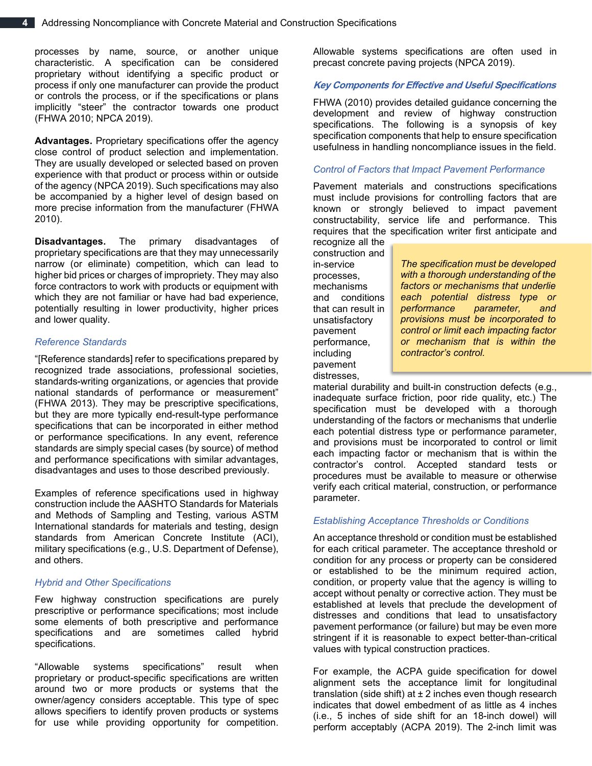processes by name, source, or another unique characteristic. A specification can be considered proprietary without identifying a specific product or process if only one manufacturer can provide the product or controls the process, or if the specifications or plans implicitly "steer" the contractor towards one product (FHWA 2010; NPCA 2019).

**Advantages.** Proprietary specifications offer the agency close control of product selection and implementation. They are usually developed or selected based on proven experience with that product or process within or outside of the agency (NPCA 2019). Such specifications may also be accompanied by a higher level of design based on more precise information from the manufacturer (FHWA 2010).

**Disadvantages.** The primary disadvantages of proprietary specifications are that they may unnecessarily narrow (or eliminate) competition, which can lead to higher bid prices or charges of impropriety. They may also force contractors to work with products or equipment with which they are not familiar or have had bad experience, potentially resulting in lower productivity, higher prices and lower quality.

## *Reference Standards*

"[Reference standards] refer to specifications prepared by recognized trade associations, professional societies, standards-writing organizations, or agencies that provide national standards of performance or measurement" (FHWA 2013). They may be prescriptive specifications, but they are more typically end-result-type performance specifications that can be incorporated in either method or performance specifications. In any event, reference standards are simply special cases (by source) of method and performance specifications with similar advantages, disadvantages and uses to those described previously.

Examples of reference specifications used in highway construction include the AASHTO Standards for Materials and Methods of Sampling and Testing, various ASTM International standards for materials and testing, design standards from American Concrete Institute (ACI), military specifications (e.g., U.S. Department of Defense), and others.

## *Hybrid and Other Specifications*

Few highway construction specifications are purely prescriptive or performance specifications; most include some elements of both prescriptive and performance specifications and are sometimes called hybrid specifications.

"Allowable systems specifications" result when proprietary or product-specific specifications are written around two or more products or systems that the owner/agency considers acceptable. This type of spec allows specifiers to identify proven products or systems for use while providing opportunity for competition.

Allowable systems specifications are often used in precast concrete paving projects (NPCA 2019).

## **Key Components for Effective and Useful Specifications**

FHWA (2010) provides detailed guidance concerning the development and review of highway construction specifications. The following is a synopsis of key specification components that help to ensure specification usefulness in handling noncompliance issues in the field.

#### *Control of Factors that Impact Pavement Performance*

Pavement materials and constructions specifications must include provisions for controlling factors that are known or strongly believed to impact pavement constructability, service life and performance. This requires that the specification writer first anticipate and

recognize all the construction and in-service processes, mechanisms and conditions that can result in unsatisfactory pavement performance, including pavement distresses,

*The specification must be developed with a thorough understanding of the factors or mechanisms that underlie each potential distress type or performance parameter, and provisions must be incorporated to control or limit each impacting factor or mechanism that is within the contractor's control.*

material durability and built-in construction defects (e.g., inadequate surface friction, poor ride quality, etc.) The specification must be developed with a thorough understanding of the factors or mechanisms that underlie each potential distress type or performance parameter, and provisions must be incorporated to control or limit each impacting factor or mechanism that is within the contractor's control. Accepted standard tests or procedures must be available to measure or otherwise verify each critical material, construction, or performance parameter.

## *Establishing Acceptance Thresholds or Conditions*

An acceptance threshold or condition must be established for each critical parameter. The acceptance threshold or condition for any process or property can be considered or established to be the minimum required action, condition, or property value that the agency is willing to accept without penalty or corrective action. They must be established at levels that preclude the development of distresses and conditions that lead to unsatisfactory pavement performance (or failure) but may be even more stringent if it is reasonable to expect better-than-critical values with typical construction practices.

For example, the ACPA guide specification for dowel alignment sets the acceptance limit for longitudinal translation (side shift) at  $\pm 2$  inches even though research indicates that dowel embedment of as little as 4 inches (i.e., 5 inches of side shift for an 18-inch dowel) will perform acceptably (ACPA 2019). The 2-inch limit was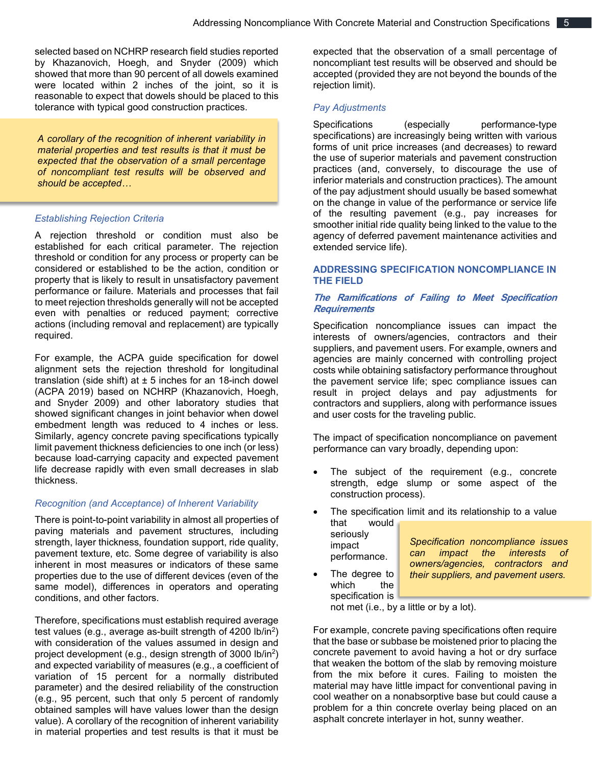selected based on NCHRP research field studies reported by Khazanovich, Hoegh, and Snyder (2009) which showed that more than 90 percent of all dowels examined were located within 2 inches of the joint, so it is reasonable to expect that dowels should be placed to this tolerance with typical good construction practices.

*A corollary of the recognition of inherent variability in material properties and test results is that it must be expected that the observation of a small percentage of noncompliant test results will be observed and should be accepted…*

## *Establishing Rejection Criteria*

A rejection threshold or condition must also be established for each critical parameter. The rejection threshold or condition for any process or property can be considered or established to be the action, condition or property that is likely to result in unsatisfactory pavement performance or failure. Materials and processes that fail to meet rejection thresholds generally will not be accepted even with penalties or reduced payment; corrective actions (including removal and replacement) are typically required.

For example, the ACPA guide specification for dowel alignment sets the rejection threshold for longitudinal translation (side shift) at  $\pm$  5 inches for an 18-inch dowel (ACPA 2019) based on NCHRP (Khazanovich, Hoegh, and Snyder 2009) and other laboratory studies that showed significant changes in joint behavior when dowel embedment length was reduced to 4 inches or less. Similarly, agency concrete paving specifications typically limit pavement thickness deficiencies to one inch (or less) because load-carrying capacity and expected pavement life decrease rapidly with even small decreases in slab thickness.

#### *Recognition (and Acceptance) of Inherent Variability*

There is point-to-point variability in almost all properties of paving materials and pavement structures, including strength, layer thickness, foundation support, ride quality, pavement texture, etc. Some degree of variability is also inherent in most measures or indicators of these same properties due to the use of different devices (even of the same model), differences in operators and operating conditions, and other factors.

Therefore, specifications must establish required average test values (e.g., average as-built strength of 4200 lb/in<sup>2</sup>) with consideration of the values assumed in design and project development (e.g., design strength of 3000 lb/in<sup>2</sup>) and expected variability of measures (e.g., a coefficient of variation of 15 percent for a normally distributed parameter) and the desired reliability of the construction (e.g., 95 percent, such that only 5 percent of randomly obtained samples will have values lower than the design value). A corollary of the recognition of inherent variability in material properties and test results is that it must be expected that the observation of a small percentage of noncompliant test results will be observed and should be accepted (provided they are not beyond the bounds of the rejection limit).

#### *Pay Adjustments*

Specifications (especially performance-type specifications) are increasingly being written with various forms of unit price increases (and decreases) to reward the use of superior materials and pavement construction practices (and, conversely, to discourage the use of inferior materials and construction practices). The amount of the pay adjustment should usually be based somewhat on the change in value of the performance or service life of the resulting pavement (e.g., pay increases for smoother initial ride quality being linked to the value to the agency of deferred pavement maintenance activities and extended service life).

## **ADDRESSING SPECIFICATION NONCOMPLIANCE IN THE FIELD**

## **The Ramifications of Failing to Meet Specification Requirements**

Specification noncompliance issues can impact the interests of owners/agencies, contractors and their suppliers, and pavement users. For example, owners and agencies are mainly concerned with controlling project costs while obtaining satisfactory performance throughout the pavement service life; spec compliance issues can result in project delays and pay adjustments for contractors and suppliers, along with performance issues and user costs for the traveling public.

The impact of specification noncompliance on pavement performance can vary broadly, depending upon:

- The subject of the requirement (e.g., concrete strength, edge slump or some aspect of the construction process).
- The specification limit and its relationship to a value that would

seriously impact performance.

*Specification noncompliance issues can impact the interests of owners/agencies, contractors and their suppliers, and pavement users.*

The degree to which the specification is

not met (i.e., by a little or by a lot).

For example, concrete paving specifications often require that the base or subbase be moistened prior to placing the concrete pavement to avoid having a hot or dry surface that weaken the bottom of the slab by removing moisture from the mix before it cures. Failing to moisten the material may have little impact for conventional paving in cool weather on a nonabsorptive base but could cause a problem for a thin concrete overlay being placed on an asphalt concrete interlayer in hot, sunny weather.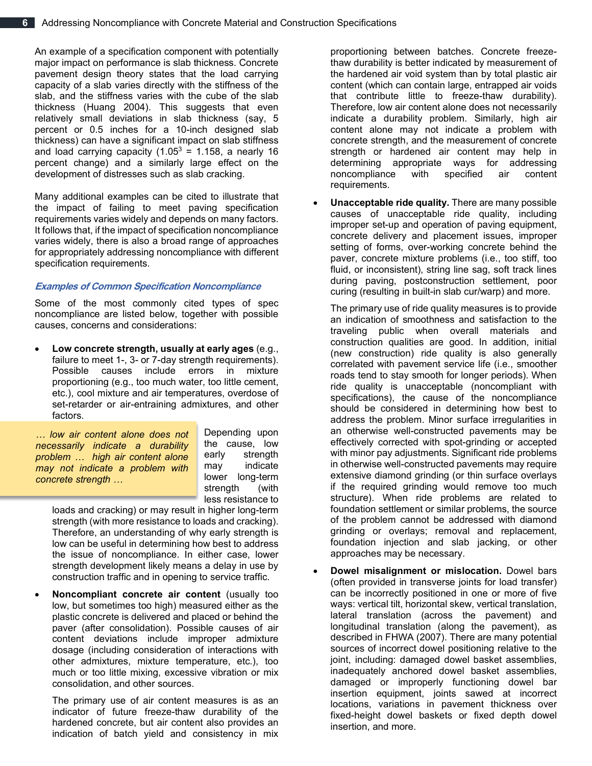An example of a specification component with potentially major impact on performance is slab thickness. Concrete pavement design theory states that the load carrying capacity of a slab varies directly with the stiffness of the slab, and the stiffness varies with the cube of the slab thickness (Huang 2004). This suggests that even relatively small deviations in slab thickness (say, 5 percent or 0.5 inches for a 10-inch designed slab thickness) can have a significant impact on slab stiffness and load carrying capacity  $(1.05^3 = 1.158, a$  nearly 16 percent change) and a similarly large effect on the development of distresses such as slab cracking.

Many additional examples can be cited to illustrate that the impact of failing to meet paving specification requirements varies widely and depends on many factors. It follows that, if the impact of specification noncompliance varies widely, there is also a broad range of approaches for appropriately addressing noncompliance with different specification requirements.

## **Examples of Common Specification Noncompliance**

Some of the most commonly cited types of spec noncompliance are listed below, together with possible causes, concerns and considerations:

• **Low concrete strength, usually at early ages** (e.g., failure to meet 1-, 3- or 7-day strength requirements). Possible causes include errors in mixture proportioning (e.g., too much water, too little cement, etc.), cool mixture and air temperatures, overdose of set-retarder or air-entraining admixtures, and other factors.

*… low air content alone does not necessarily indicate a durability problem … high air content alone may not indicate a problem with concrete strength …*

Depending upon the cause, low early strength may indicate lower long-term strength (with less resistance to

loads and cracking) or may result in higher long-term strength (with more resistance to loads and cracking). Therefore, an understanding of why early strength is low can be useful in determining how best to address the issue of noncompliance. In either case, lower strength development likely means a delay in use by construction traffic and in opening to service traffic.

• **Noncompliant concrete air content** (usually too low, but sometimes too high) measured either as the plastic concrete is delivered and placed or behind the paver (after consolidation). Possible causes of air content deviations include improper admixture dosage (including consideration of interactions with other admixtures, mixture temperature, etc.), too much or too little mixing, excessive vibration or mix consolidation, and other sources.

The primary use of air content measures is as an indicator of future freeze-thaw durability of the hardened concrete, but air content also provides an indication of batch yield and consistency in mix

proportioning between batches. Concrete freezethaw durability is better indicated by measurement of the hardened air void system than by total plastic air content (which can contain large, entrapped air voids that contribute little to freeze-thaw durability). Therefore, low air content alone does not necessarily indicate a durability problem. Similarly, high air content alone may not indicate a problem with concrete strength, and the measurement of concrete strength or hardened air content may help in determining appropriate ways for addressing noncompliance with specified air content requirements.

• **Unacceptable ride quality.** There are many possible causes of unacceptable ride quality, including improper set-up and operation of paving equipment, concrete delivery and placement issues, improper setting of forms, over-working concrete behind the paver, concrete mixture problems (i.e., too stiff, too fluid, or inconsistent), string line sag, soft track lines during paving, postconstruction settlement, poor curing (resulting in built-in slab cur/warp) and more.

The primary use of ride quality measures is to provide an indication of smoothness and satisfaction to the traveling public when overall materials and construction qualities are good. In addition, initial (new construction) ride quality is also generally correlated with pavement service life (i.e., smoother roads tend to stay smooth for longer periods). When ride quality is unacceptable (noncompliant with specifications), the cause of the noncompliance should be considered in determining how best to address the problem. Minor surface irregularities in an otherwise well-constructed pavements may be effectively corrected with spot-grinding or accepted with minor pay adjustments. Significant ride problems in otherwise well-constructed pavements may require extensive diamond grinding (or thin surface overlays if the required grinding would remove too much structure). When ride problems are related to foundation settlement or similar problems, the source of the problem cannot be addressed with diamond grinding or overlays; removal and replacement, foundation injection and slab jacking, or other approaches may be necessary.

• **Dowel misalignment or mislocation.** Dowel bars (often provided in transverse joints for load transfer) can be incorrectly positioned in one or more of five ways: vertical tilt, horizontal skew, vertical translation, lateral translation (across the pavement) and longitudinal translation (along the pavement), as described in FHWA (2007). There are many potential sources of incorrect dowel positioning relative to the joint, including: damaged dowel basket assemblies, inadequately anchored dowel basket assemblies, damaged or improperly functioning dowel bar insertion equipment, joints sawed at incorrect locations, variations in pavement thickness over fixed-height dowel baskets or fixed depth dowel insertion, and more.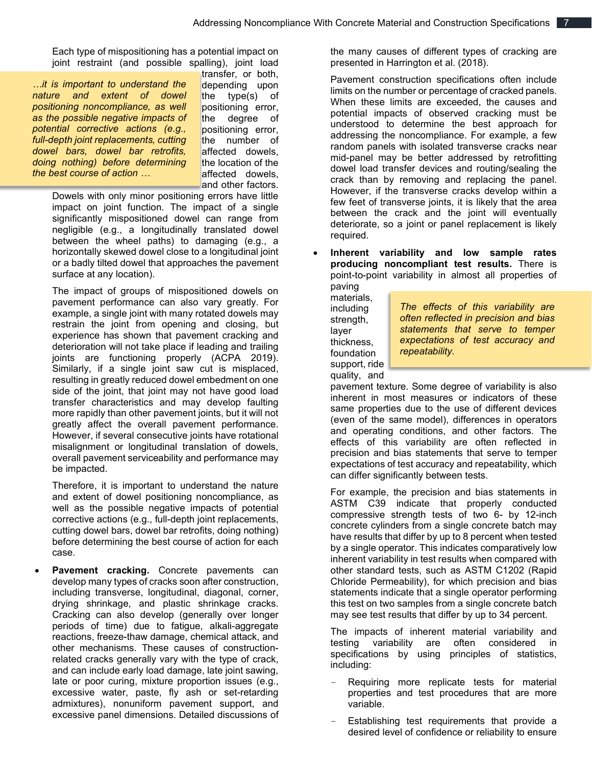Each type of mispositioning has a potential impact on joint restraint (and possible spalling), joint load

*…it is important to understand the nature and extent of dowel positioning noncompliance, as well as the possible negative impacts of potential corrective actions (e.g., full-depth joint replacements, cutting dowel bars, dowel bar retrofits, doing nothing) before determining the best course of action …*

transfer, or both, depending upon the type(s) of positioning error, the degree of positioning error, the number of affected dowels, the location of the affected dowels, and other factors.

Dowels with only minor positioning errors have little impact on joint function. The impact of a single significantly mispositioned dowel can range from negligible (e.g., a longitudinally translated dowel between the wheel paths) to damaging (e.g., a horizontally skewed dowel close to a longitudinal joint or a badly tilted dowel that approaches the pavement surface at any location).

The impact of groups of mispositioned dowels on pavement performance can also vary greatly. For example, a single joint with many rotated dowels may restrain the joint from opening and closing, but experience has shown that pavement cracking and deterioration will not take place if leading and trailing joints are functioning properly (ACPA 2019). Similarly, if a single joint saw cut is misplaced, resulting in greatly reduced dowel embedment on one side of the joint, that joint may not have good load transfer characteristics and may develop faulting more rapidly than other pavement joints, but it will not greatly affect the overall pavement performance. However, if several consecutive joints have rotational misalignment or longitudinal translation of dowels, overall pavement serviceability and performance may be impacted.

Therefore, it is important to understand the nature and extent of dowel positioning noncompliance, as well as the possible negative impacts of potential corrective actions (e.g., full-depth joint replacements, cutting dowel bars, dowel bar retrofits, doing nothing) before determining the best course of action for each case.

Pavement cracking. Concrete pavements can develop many types of cracks soon after construction, including transverse, longitudinal, diagonal, corner, drying shrinkage, and plastic shrinkage cracks. Cracking can also develop (generally over longer periods of time) due to fatigue, alkali-aggregate reactions, freeze-thaw damage, chemical attack, and other mechanisms. These causes of constructionrelated cracks generally vary with the type of crack, and can include early load damage, late joint sawing, late or poor curing, mixture proportion issues (e.g., excessive water, paste, fly ash or set-retarding admixtures), nonuniform pavement support, and excessive panel dimensions. Detailed discussions of

the many causes of different types of cracking are presented in Harrington et al. (2018).

Pavement construction specifications often include limits on the number or percentage of cracked panels. When these limits are exceeded, the causes and potential impacts of observed cracking must be understood to determine the best approach for addressing the noncompliance. For example, a few random panels with isolated transverse cracks near mid-panel may be better addressed by retrofitting dowel load transfer devices and routing/sealing the crack than by removing and replacing the panel. However, if the transverse cracks develop within a few feet of transverse joints, it is likely that the area between the crack and the joint will eventually deteriorate, so a joint or panel replacement is likely required.

• **Inherent variability and low sample rates producing noncompliant test results.** There is point-to-point variability in almost all properties of

paving materials, including strength, layer thickness, foundation support, ride quality, and

*The effects of this variability are often reflected in precision and bias statements that serve to temper expectations of test accuracy and repeatability.*

pavement texture. Some degree of variability is also inherent in most measures or indicators of these same properties due to the use of different devices (even of the same model), differences in operators and operating conditions, and other factors. The effects of this variability are often reflected in precision and bias statements that serve to temper expectations of test accuracy and repeatability, which can differ significantly between tests.

For example, the precision and bias statements in ASTM C39 indicate that properly conducted compressive strength tests of two 6- by 12-inch concrete cylinders from a single concrete batch may have results that differ by up to 8 percent when tested by a single operator. This indicates comparatively low inherent variability in test results when compared with other standard tests, such as ASTM C1202 (Rapid Chloride Permeability), for which precision and bias statements indicate that a single operator performing this test on two samples from a single concrete batch may see test results that differ by up to 34 percent.

The impacts of inherent material variability and testing variability are often considered in specifications by using principles of statistics, including:

- Requiring more replicate tests for material properties and test procedures that are more variable.
- Establishing test requirements that provide a desired level of confidence or reliability to ensure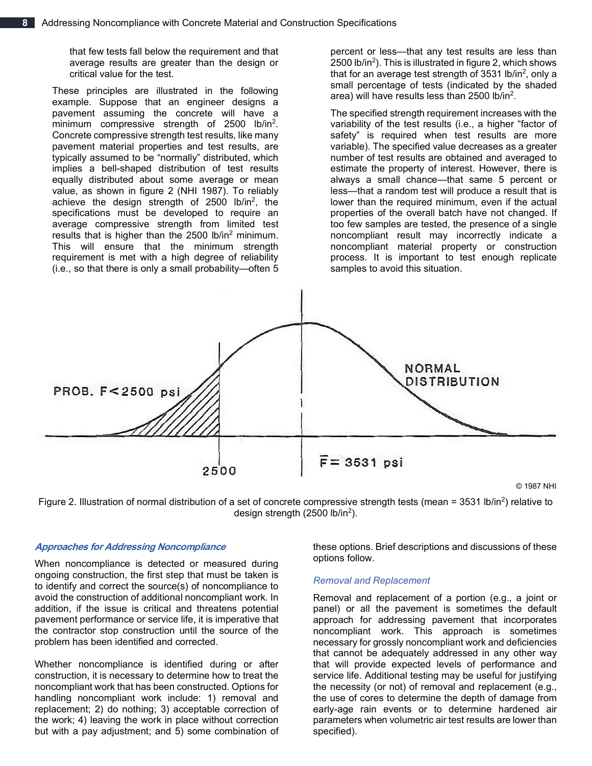that few tests fall below the requirement and that average results are greater than the design or critical value for the test.

These principles are illustrated in the following example. Suppose that an engineer designs a pavement assuming the concrete will have a minimum compressive strength of 2500 lb/in<sup>2</sup>. Concrete compressive strength test results, like many pavement material properties and test results, are typically assumed to be "normally" distributed, which implies a bell-shaped distribution of test results equally distributed about some average or mean value, as shown in figure 2 (NHI 1987). To reliably achieve the design strength of 2500 lb/in<sup>2</sup>, the specifications must be developed to require an average compressive strength from limited test results that is higher than the 2500 lb/in<sup>2</sup> minimum. This will ensure that the minimum strength requirement is met with a high degree of reliability (i.e., so that there is only a small probability—often 5

percent or less—that any test results are less than 2500 lb/in<sup>2</sup>). This is illustrated in figure 2, which shows that for an average test strength of 3531 lb/in<sup>2</sup>, only a small percentage of tests (indicated by the shaded area) will have results less than 2500 lb/in2.

The specified strength requirement increases with the variability of the test results (i.e., a higher "factor of safety" is required when test results are more variable). The specified value decreases as a greater number of test results are obtained and averaged to estimate the property of interest. However, there is always a small chance—that same 5 percent or less—that a random test will produce a result that is lower than the required minimum, even if the actual properties of the overall batch have not changed. If too few samples are tested, the presence of a single noncompliant result may incorrectly indicate a noncompliant material property or construction process. It is important to test enough replicate samples to avoid this situation.





## **Approaches for Addressing Noncompliance**

When noncompliance is detected or measured during ongoing construction, the first step that must be taken is to identify and correct the source(s) of noncompliance to avoid the construction of additional noncompliant work. In addition, if the issue is critical and threatens potential pavement performance or service life, it is imperative that the contractor stop construction until the source of the problem has been identified and corrected.

Whether noncompliance is identified during or after construction, it is necessary to determine how to treat the noncompliant work that has been constructed. Options for handling noncompliant work include: 1) removal and replacement; 2) do nothing; 3) acceptable correction of the work; 4) leaving the work in place without correction but with a pay adjustment; and 5) some combination of these options. Brief descriptions and discussions of these options follow.

#### *Removal and Replacement*

Removal and replacement of a portion (e.g., a joint or panel) or all the pavement is sometimes the default approach for addressing pavement that incorporates noncompliant work. This approach is sometimes necessary for grossly noncompliant work and deficiencies that cannot be adequately addressed in any other way that will provide expected levels of performance and service life. Additional testing may be useful for justifying the necessity (or not) of removal and replacement (e.g., the use of cores to determine the depth of damage from early-age rain events or to determine hardened air parameters when volumetric air test results are lower than specified).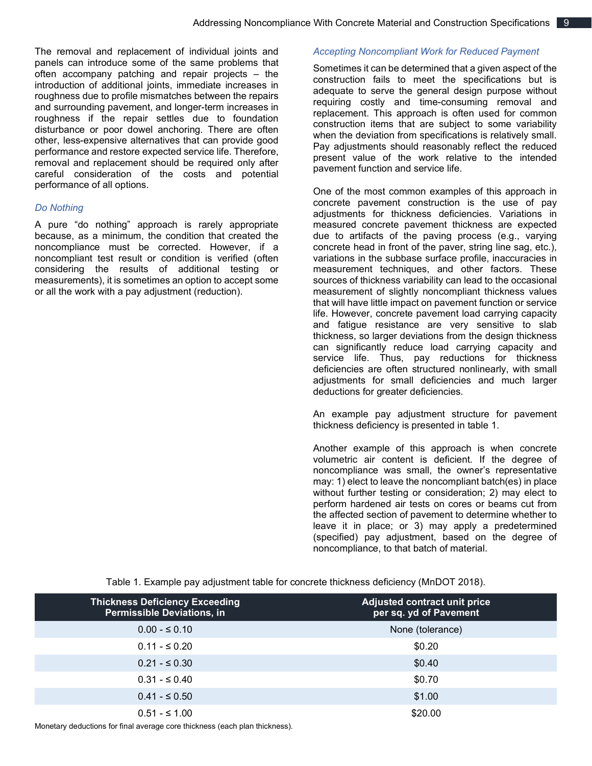The removal and replacement of individual joints and panels can introduce some of the same problems that often accompany patching and repair projects – the introduction of additional joints, immediate increases in roughness due to profile mismatches between the repairs and surrounding pavement, and longer-term increases in roughness if the repair settles due to foundation disturbance or poor dowel anchoring. There are often other, less-expensive alternatives that can provide good performance and restore expected service life. Therefore, removal and replacement should be required only after careful consideration of the costs and potential performance of all options.

## *Do Nothing*

A pure "do nothing" approach is rarely appropriate because, as a minimum, the condition that created the noncompliance must be corrected. However, if a noncompliant test result or condition is verified (often considering the results of additional testing or measurements), it is sometimes an option to accept some or all the work with a pay adjustment (reduction).

## *Accepting Noncompliant Work for Reduced Payment*

Sometimes it can be determined that a given aspect of the construction fails to meet the specifications but is adequate to serve the general design purpose without requiring costly and time-consuming removal and replacement. This approach is often used for common construction items that are subject to some variability when the deviation from specifications is relatively small. Pay adjustments should reasonably reflect the reduced present value of the work relative to the intended pavement function and service life.

One of the most common examples of this approach in concrete pavement construction is the use of pay adjustments for thickness deficiencies. Variations in measured concrete pavement thickness are expected due to artifacts of the paving process (e.g., varying concrete head in front of the paver, string line sag, etc.), variations in the subbase surface profile, inaccuracies in measurement techniques, and other factors. These sources of thickness variability can lead to the occasional measurement of slightly noncompliant thickness values that will have little impact on pavement function or service life. However, concrete pavement load carrying capacity and fatigue resistance are very sensitive to slab thickness, so larger deviations from the design thickness can significantly reduce load carrying capacity and service life. Thus, pay reductions for thickness deficiencies are often structured nonlinearly, with small adjustments for small deficiencies and much larger deductions for greater deficiencies.

An example pay adjustment structure for pavement thickness deficiency is presented in table 1.

Another example of this approach is when concrete volumetric air content is deficient. If the degree of noncompliance was small, the owner's representative may: 1) elect to leave the noncompliant batch(es) in place without further testing or consideration; 2) may elect to perform hardened air tests on cores or beams cut from the affected section of pavement to determine whether to leave it in place; or 3) may apply a predetermined (specified) pay adjustment, based on the degree of noncompliance, to that batch of material.

Table 1. Example pay adjustment table for concrete thickness deficiency (MnDOT 2018).

| <b>Thickness Deficiency Exceeding</b><br><b>Permissible Deviations, in</b> | <b>Adjusted contract unit price</b><br>per sq. yd of Pavement |
|----------------------------------------------------------------------------|---------------------------------------------------------------|
| $0.00 - 5.010$                                                             | None (tolerance)                                              |
| $0.11 - \leq 0.20$                                                         | \$0.20                                                        |
| $0.21 - 5.30$                                                              | \$0.40                                                        |
| $0.31 - 5.040$                                                             | \$0.70                                                        |
| $0.41 - \leq 0.50$                                                         | \$1.00                                                        |
| $0.51 - 51.00$                                                             | \$20.00                                                       |

Monetary deductions for final average core thickness (each plan thickness).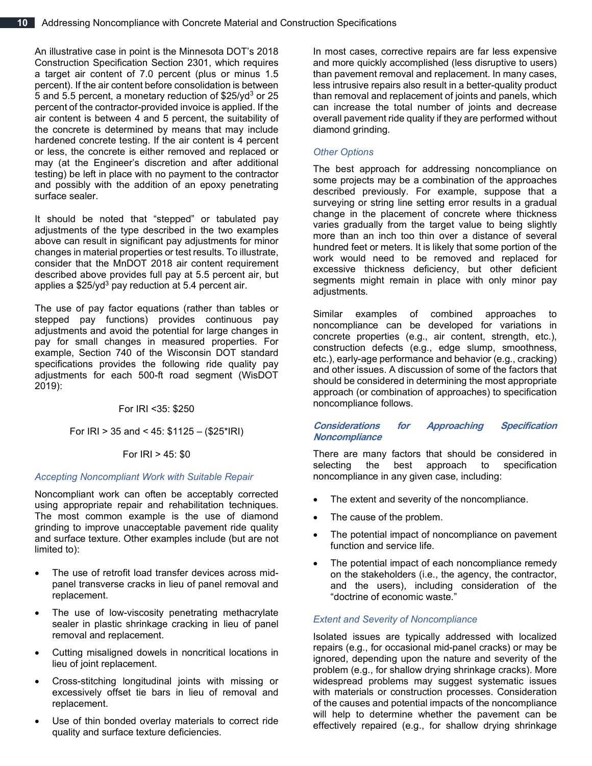An illustrative case in point is the Minnesota DOT's 2018 Construction Specification Section 2301, which requires a target air content of 7.0 percent (plus or minus 1.5 percent). If the air content before consolidation is between 5 and 5.5 percent, a monetary reduction of \$25/yd<sup>3</sup> or 25 percent of the contractor-provided invoice is applied. If the air content is between 4 and 5 percent, the suitability of the concrete is determined by means that may include hardened concrete testing. If the air content is 4 percent or less, the concrete is either removed and replaced or may (at the Engineer's discretion and after additional testing) be left in place with no payment to the contractor and possibly with the addition of an epoxy penetrating surface sealer.

It should be noted that "stepped" or tabulated pay adjustments of the type described in the two examples above can result in significant pay adjustments for minor changes in material properties or test results. To illustrate, consider that the MnDOT 2018 air content requirement described above provides full pay at 5.5 percent air, but applies a  $$25/\nu d^3$  pay reduction at 5.4 percent air.

The use of pay factor equations (rather than tables or stepped pay functions) provides continuous pay adjustments and avoid the potential for large changes in pay for small changes in measured properties. For example, Section 740 of the Wisconsin DOT standard specifications provides the following ride quality pay adjustments for each 500-ft road segment (WisDOT 2019):

For IRI <35: \$250

For IRI > 35 and < 45: \$1125 – (\$25\*IRI)

## For IRI > 45: \$0

## *Accepting Noncompliant Work with Suitable Repair*

Noncompliant work can often be acceptably corrected using appropriate repair and rehabilitation techniques. The most common example is the use of diamond grinding to improve unacceptable pavement ride quality and surface texture. Other examples include (but are not limited to):

- The use of retrofit load transfer devices across midpanel transverse cracks in lieu of panel removal and replacement.
- The use of low-viscosity penetrating methacrylate sealer in plastic shrinkage cracking in lieu of panel removal and replacement.
- Cutting misaligned dowels in noncritical locations in lieu of joint replacement.
- Cross-stitching longitudinal joints with missing or excessively offset tie bars in lieu of removal and replacement.
- Use of thin bonded overlay materials to correct ride quality and surface texture deficiencies.

In most cases, corrective repairs are far less expensive and more quickly accomplished (less disruptive to users) than pavement removal and replacement. In many cases, less intrusive repairs also result in a better-quality product than removal and replacement of joints and panels, which can increase the total number of joints and decrease overall pavement ride quality if they are performed without diamond grinding.

## *Other Options*

The best approach for addressing noncompliance on some projects may be a combination of the approaches described previously. For example, suppose that a surveying or string line setting error results in a gradual change in the placement of concrete where thickness varies gradually from the target value to being slightly more than an inch too thin over a distance of several hundred feet or meters. It is likely that some portion of the work would need to be removed and replaced for excessive thickness deficiency, but other deficient segments might remain in place with only minor pay adjustments.

Similar examples of combined approaches to noncompliance can be developed for variations in concrete properties (e.g., air content, strength, etc.), construction defects (e.g., edge slump, smoothness, etc.), early-age performance and behavior (e.g., cracking) and other issues. A discussion of some of the factors that should be considered in determining the most appropriate approach (or combination of approaches) to specification noncompliance follows.

## **Considerations for Approaching Specification Noncompliance**

There are many factors that should be considered in selecting the best approach to specification noncompliance in any given case, including:

- The extent and severity of the noncompliance.
- The cause of the problem.
- The potential impact of noncompliance on pavement function and service life.
- The potential impact of each noncompliance remedy on the stakeholders (i.e., the agency, the contractor, and the users), including consideration of the "doctrine of economic waste."

## *Extent and Severity of Noncompliance*

Isolated issues are typically addressed with localized repairs (e.g., for occasional mid-panel cracks) or may be ignored, depending upon the nature and severity of the problem (e.g., for shallow drying shrinkage cracks). More widespread problems may suggest systematic issues with materials or construction processes. Consideration of the causes and potential impacts of the noncompliance will help to determine whether the pavement can be effectively repaired (e.g., for shallow drying shrinkage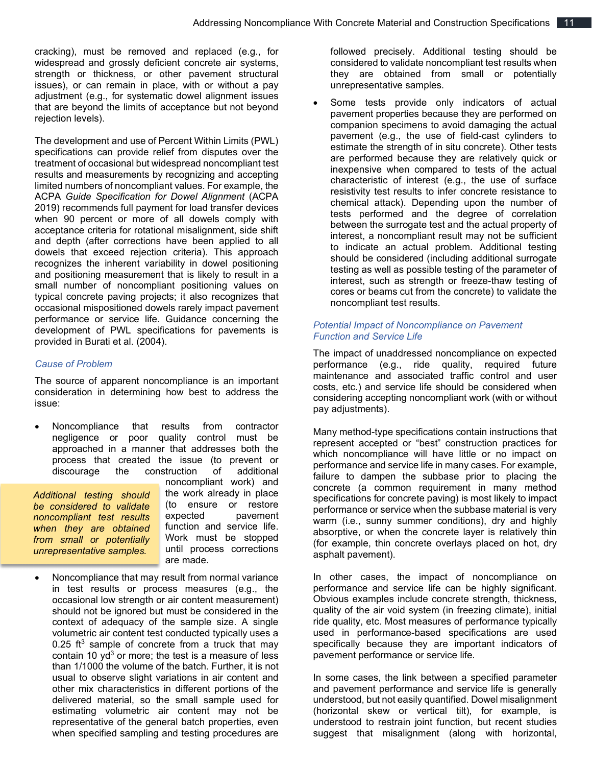cracking), must be removed and replaced (e.g., for widespread and grossly deficient concrete air systems, strength or thickness, or other pavement structural issues), or can remain in place, with or without a pay adjustment (e.g., for systematic dowel alignment issues that are beyond the limits of acceptance but not beyond rejection levels).

The development and use of Percent Within Limits (PWL) specifications can provide relief from disputes over the treatment of occasional but widespread noncompliant test results and measurements by recognizing and accepting limited numbers of noncompliant values. For example, the ACPA *Guide Specification for Dowel Alignment* (ACPA 2019) recommends full payment for load transfer devices when 90 percent or more of all dowels comply with acceptance criteria for rotational misalignment, side shift and depth (after corrections have been applied to all dowels that exceed rejection criteria). This approach recognizes the inherent variability in dowel positioning and positioning measurement that is likely to result in a small number of noncompliant positioning values on typical concrete paving projects; it also recognizes that occasional mispositioned dowels rarely impact pavement performance or service life. Guidance concerning the development of PWL specifications for pavements is provided in Burati et al. (2004).

## *Cause of Problem*

The source of apparent noncompliance is an important consideration in determining how best to address the issue:

• Noncompliance that results from contractor negligence or poor quality control must be approached in a manner that addresses both the process that created the issue (to prevent or discourage the construction of additional

*Additional testing should be considered to validate noncompliant test results when they are obtained from small or potentially unrepresentative samples.*

noncompliant work) and the work already in place (to ensure or restore expected pavement function and service life. Work must be stopped until process corrections are made.

• Noncompliance that may result from normal variance in test results or process measures (e.g., the occasional low strength or air content measurement) should not be ignored but must be considered in the context of adequacy of the sample size. A single volumetric air content test conducted typically uses a 0.25 ft<sup>3</sup> sample of concrete from a truck that may contain 10  $yd^3$  or more; the test is a measure of less than 1/1000 the volume of the batch. Further, it is not usual to observe slight variations in air content and other mix characteristics in different portions of the delivered material, so the small sample used for estimating volumetric air content may not be representative of the general batch properties, even when specified sampling and testing procedures are

followed precisely. Additional testing should be considered to validate noncompliant test results when they are obtained from small or potentially unrepresentative samples.

Some tests provide only indicators of actual pavement properties because they are performed on companion specimens to avoid damaging the actual pavement (e.g., the use of field-cast cylinders to estimate the strength of in situ concrete). Other tests are performed because they are relatively quick or inexpensive when compared to tests of the actual characteristic of interest (e.g., the use of surface resistivity test results to infer concrete resistance to chemical attack). Depending upon the number of tests performed and the degree of correlation between the surrogate test and the actual property of interest, a noncompliant result may not be sufficient to indicate an actual problem. Additional testing should be considered (including additional surrogate testing as well as possible testing of the parameter of interest, such as strength or freeze-thaw testing of cores or beams cut from the concrete) to validate the noncompliant test results.

## *Potential Impact of Noncompliance on Pavement Function and Service Life*

The impact of unaddressed noncompliance on expected performance (e.g., ride quality, required future maintenance and associated traffic control and user costs, etc.) and service life should be considered when considering accepting noncompliant work (with or without pay adjustments).

Many method-type specifications contain instructions that represent accepted or "best" construction practices for which noncompliance will have little or no impact on performance and service life in many cases. For example, failure to dampen the subbase prior to placing the concrete (a common requirement in many method specifications for concrete paving) is most likely to impact performance or service when the subbase material is very warm (i.e., sunny summer conditions), dry and highly absorptive, or when the concrete layer is relatively thin (for example, thin concrete overlays placed on hot, dry asphalt pavement).

In other cases, the impact of noncompliance on performance and service life can be highly significant. Obvious examples include concrete strength, thickness, quality of the air void system (in freezing climate), initial ride quality, etc. Most measures of performance typically used in performance-based specifications are used specifically because they are important indicators of pavement performance or service life.

In some cases, the link between a specified parameter and pavement performance and service life is generally understood, but not easily quantified. Dowel misalignment (horizontal skew or vertical tilt), for example, is understood to restrain joint function, but recent studies suggest that misalignment (along with horizontal,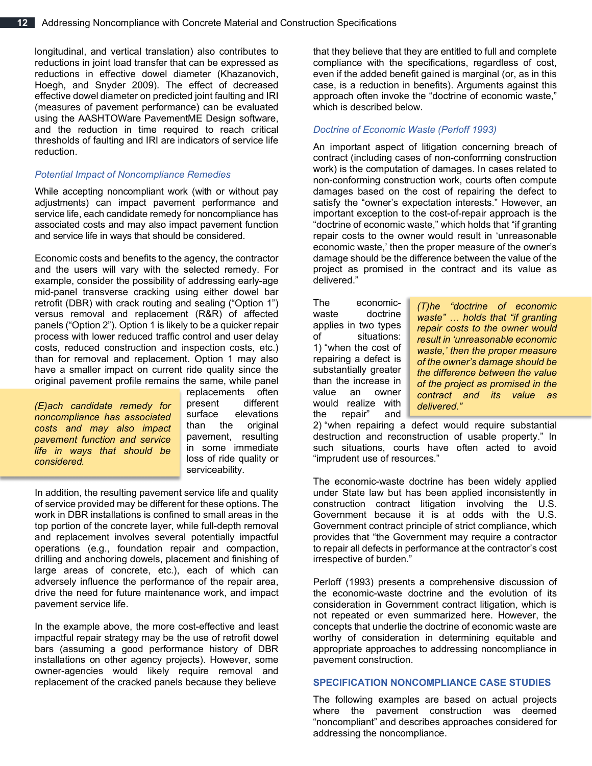longitudinal, and vertical translation) also contributes to reductions in joint load transfer that can be expressed as reductions in effective dowel diameter (Khazanovich, Hoegh, and Snyder 2009). The effect of decreased effective dowel diameter on predicted joint faulting and IRI (measures of pavement performance) can be evaluated using the AASHTOWare PavementME Design software, and the reduction in time required to reach critical thresholds of faulting and IRI are indicators of service life reduction.

## *Potential Impact of Noncompliance Remedies*

While accepting noncompliant work (with or without pay adjustments) can impact pavement performance and service life, each candidate remedy for noncompliance has associated costs and may also impact pavement function and service life in ways that should be considered.

Economic costs and benefits to the agency, the contractor and the users will vary with the selected remedy. For example, consider the possibility of addressing early-age mid-panel transverse cracking using either dowel bar retrofit (DBR) with crack routing and sealing ("Option 1") versus removal and replacement (R&R) of affected panels ("Option 2"). Option 1 is likely to be a quicker repair process with lower reduced traffic control and user delay costs, reduced construction and inspection costs, etc.) than for removal and replacement. Option 1 may also have a smaller impact on current ride quality since the original pavement profile remains the same, while panel

*(E)ach candidate remedy for noncompliance has associated costs and may also impact pavement function and service life in ways that should be considered.*

replacements often present different surface elevations than the original pavement, resulting in some immediate loss of ride quality or serviceability.

In addition, the resulting pavement service life and quality of service provided may be different for these options. The work in DBR installations is confined to small areas in the top portion of the concrete layer, while full-depth removal and replacement involves several potentially impactful operations (e.g., foundation repair and compaction, drilling and anchoring dowels, placement and finishing of large areas of concrete, etc.), each of which can adversely influence the performance of the repair area, drive the need for future maintenance work, and impact pavement service life.

In the example above, the more cost-effective and least impactful repair strategy may be the use of retrofit dowel bars (assuming a good performance history of DBR installations on other agency projects). However, some owner-agencies would likely require removal and replacement of the cracked panels because they believe

that they believe that they are entitled to full and complete compliance with the specifications, regardless of cost, even if the added benefit gained is marginal (or, as in this case, is a reduction in benefits). Arguments against this approach often invoke the "doctrine of economic waste," which is described below.

## *Doctrine of Economic Waste (Perloff 1993)*

An important aspect of litigation concerning breach of contract (including cases of non-conforming construction work) is the computation of damages. In cases related to non-conforming construction work, courts often compute damages based on the cost of repairing the defect to satisfy the "owner's expectation interests." However, an important exception to the cost-of-repair approach is the "doctrine of economic waste," which holds that "if granting repair costs to the owner would result in 'unreasonable economic waste,' then the proper measure of the owner's damage should be the difference between the value of the project as promised in the contract and its value as delivered."

The economicwaste doctrine applies in two types of situations: 1) "when the cost of repairing a defect is substantially greater than the increase in value an owner would realize with the repair" and

*(T)he "doctrine of economic waste" … holds that "if granting repair costs to the owner would result in 'unreasonable economic waste,' then the proper measure of the owner's damage should be the difference between the value of the project as promised in the contract and its value as delivered."*

2) "when repairing a defect would require substantial destruction and reconstruction of usable property." In such situations, courts have often acted to avoid "imprudent use of resources."

The economic-waste doctrine has been widely applied under State law but has been applied inconsistently in construction contract litigation involving the U.S. Government because it is at odds with the U.S. Government contract principle of strict compliance, which provides that "the Government may require a contractor to repair all defects in performance at the contractor's cost irrespective of burden."

Perloff (1993) presents a comprehensive discussion of the economic-waste doctrine and the evolution of its consideration in Government contract litigation, which is not repeated or even summarized here. However, the concepts that underlie the doctrine of economic waste are worthy of consideration in determining equitable and appropriate approaches to addressing noncompliance in pavement construction.

#### **SPECIFICATION NONCOMPLIANCE CASE STUDIES**

The following examples are based on actual projects where the pavement construction was deemed "noncompliant" and describes approaches considered for addressing the noncompliance.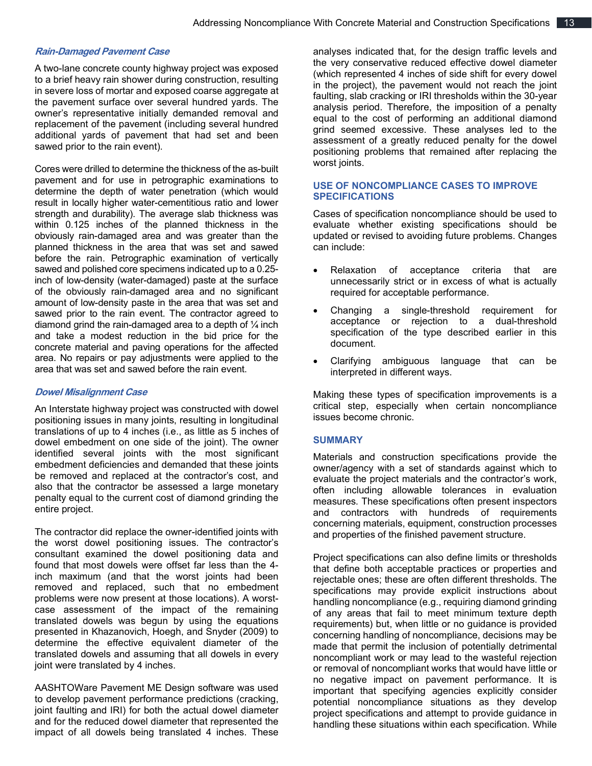#### **Rain-Damaged Pavement Case**

A two-lane concrete county highway project was exposed to a brief heavy rain shower during construction, resulting in severe loss of mortar and exposed coarse aggregate at the pavement surface over several hundred yards. The owner's representative initially demanded removal and replacement of the pavement (including several hundred additional yards of pavement that had set and been sawed prior to the rain event).

Cores were drilled to determine the thickness of the as-built pavement and for use in petrographic examinations to determine the depth of water penetration (which would result in locally higher water-cementitious ratio and lower strength and durability). The average slab thickness was within 0.125 inches of the planned thickness in the obviously rain-damaged area and was greater than the planned thickness in the area that was set and sawed before the rain. Petrographic examination of vertically sawed and polished core specimens indicated up to a 0.25 inch of low-density (water-damaged) paste at the surface of the obviously rain-damaged area and no significant amount of low-density paste in the area that was set and sawed prior to the rain event. The contractor agreed to diamond grind the rain-damaged area to a depth of  $\frac{1}{4}$  inch and take a modest reduction in the bid price for the concrete material and paving operations for the affected area. No repairs or pay adjustments were applied to the area that was set and sawed before the rain event.

#### **Dowel Misalignment Case**

An Interstate highway project was constructed with dowel positioning issues in many joints, resulting in longitudinal translations of up to 4 inches (i.e., as little as 5 inches of dowel embedment on one side of the joint). The owner identified several joints with the most significant embedment deficiencies and demanded that these joints be removed and replaced at the contractor's cost, and also that the contractor be assessed a large monetary penalty equal to the current cost of diamond grinding the entire project.

The contractor did replace the owner-identified joints with the worst dowel positioning issues. The contractor's consultant examined the dowel positioning data and found that most dowels were offset far less than the 4 inch maximum (and that the worst joints had been removed and replaced, such that no embedment problems were now present at those locations). A worstcase assessment of the impact of the remaining translated dowels was begun by using the equations presented in Khazanovich, Hoegh, and Snyder (2009) to determine the effective equivalent diameter of the translated dowels and assuming that all dowels in every joint were translated by 4 inches.

AASHTOWare Pavement ME Design software was used to develop pavement performance predictions (cracking, joint faulting and IRI) for both the actual dowel diameter and for the reduced dowel diameter that represented the impact of all dowels being translated 4 inches. These

analyses indicated that, for the design traffic levels and the very conservative reduced effective dowel diameter (which represented 4 inches of side shift for every dowel in the project), the pavement would not reach the joint faulting, slab cracking or IRI thresholds within the 30-year analysis period. Therefore, the imposition of a penalty equal to the cost of performing an additional diamond grind seemed excessive. These analyses led to the assessment of a greatly reduced penalty for the dowel positioning problems that remained after replacing the worst joints.

## **USE OF NONCOMPLIANCE CASES TO IMPROVE SPECIFICATIONS**

Cases of specification noncompliance should be used to evaluate whether existing specifications should be updated or revised to avoiding future problems. Changes can include:

- Relaxation of acceptance criteria that are unnecessarily strict or in excess of what is actually required for acceptable performance.
- Changing a single-threshold requirement for acceptance or rejection to a dual-threshold specification of the type described earlier in this document.
- Clarifying ambiguous language that can be interpreted in different ways.

Making these types of specification improvements is a critical step, especially when certain noncompliance issues become chronic.

#### **SUMMARY**

Materials and construction specifications provide the owner/agency with a set of standards against which to evaluate the project materials and the contractor's work, often including allowable tolerances in evaluation measures. These specifications often present inspectors and contractors with hundreds of requirements concerning materials, equipment, construction processes and properties of the finished pavement structure.

Project specifications can also define limits or thresholds that define both acceptable practices or properties and rejectable ones; these are often different thresholds. The specifications may provide explicit instructions about handling noncompliance (e.g., requiring diamond grinding of any areas that fail to meet minimum texture depth requirements) but, when little or no guidance is provided concerning handling of noncompliance, decisions may be made that permit the inclusion of potentially detrimental noncompliant work or may lead to the wasteful rejection or removal of noncompliant works that would have little or no negative impact on pavement performance. It is important that specifying agencies explicitly consider potential noncompliance situations as they develop project specifications and attempt to provide guidance in handling these situations within each specification. While